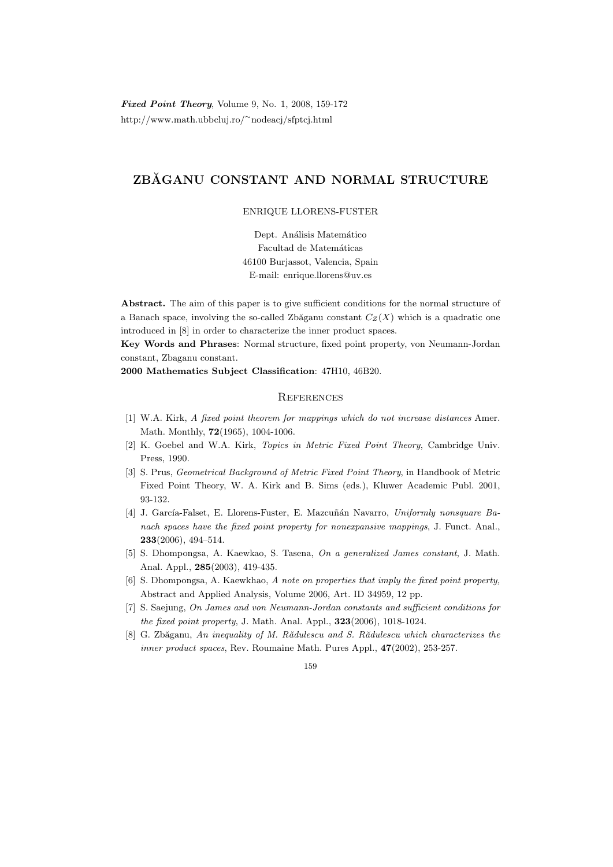Fixed Point Theory, Volume 9, No. 1, 2008, 159-172 http://www.math.ubbcluj.ro/<sup>∼</sup>nodeacj/sfptcj.html

# ZBĂGANU CONSTANT AND NORMAL STRUCTURE

## ENRIQUE LLORENS-FUSTER

Dept. Análisis Matemático Facultad de Matemáticas 46100 Burjassot, Valencia, Spain E-mail: enrique.llorens@uv.es

Abstract. The aim of this paper is to give sufficient conditions for the normal structure of a Banach space, involving the so-called Zbăganu constant  $C_Z(X)$  which is a quadratic one introduced in [8] in order to characterize the inner product spaces.

Key Words and Phrases: Normal structure, fixed point property, von Neumann-Jordan constant, Zbaganu constant.

2000 Mathematics Subject Classification: 47H10, 46B20.

## **REFERENCES**

- [1] W.A. Kirk, A fixed point theorem for mappings which do not increase distances Amer. Math. Monthly, 72(1965), 1004-1006.
- [2] K. Goebel and W.A. Kirk, Topics in Metric Fixed Point Theory, Cambridge Univ. Press, 1990.
- [3] S. Prus, Geometrical Background of Metric Fixed Point Theory, in Handbook of Metric Fixed Point Theory, W. A. Kirk and B. Sims (eds.), Kluwer Academic Publ. 2001, 93-132.
- [4] J. García-Falset, E. Llorens-Fuster, E. Mazcuñán Navarro, Uniformly nonsquare Banach spaces have the fixed point property for nonexpansive mappings, J. Funct. Anal., 233(2006), 494–514.
- [5] S. Dhompongsa, A. Kaewkao, S. Tasena, On a generalized James constant, J. Math. Anal. Appl., 285(2003), 419-435.
- [6] S. Dhompongsa, A. Kaewkhao, A note on properties that imply the fixed point property, Abstract and Applied Analysis, Volume 2006, Art. ID 34959, 12 pp.
- [7] S. Saejung, On James and von Neumann-Jordan constants and sufficient conditions for the fixed point property, J. Math. Anal. Appl., 323(2006), 1018-1024.
- [8] G. Zbăganu, An inequality of M. Rădulescu and S. Rădulescu which characterizes the inner product spaces, Rev. Roumaine Math. Pures Appl.,  $47(2002)$ , 253-257.

### 159